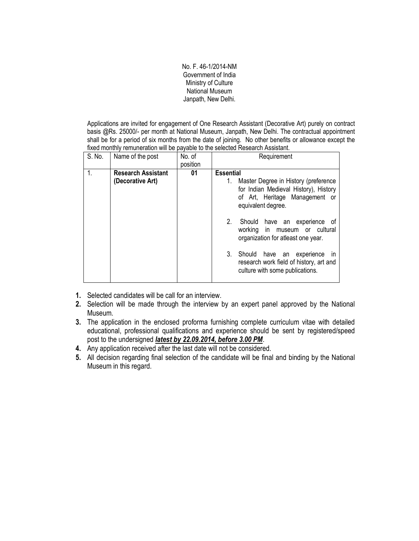No. F. 46-1/2014-NM Government of India Ministry of Culture National Museum Janpath, New Delhi.

Applications are invited for engagement of One Research Assistant (Decorative Art) purely on contract basis @Rs. 25000/- per month at National Museum, Janpath, New Delhi. The contractual appointment shall be for a period of six months from the date of joining. No other benefits or allowance except the fixed monthly remuneration will be payable to the selected Research Assistant.

| S. No. | Name of the post                              | No. of<br>position | Requirement                                                                                                                                                                                                                                                                                                                                                                                                                  |
|--------|-----------------------------------------------|--------------------|------------------------------------------------------------------------------------------------------------------------------------------------------------------------------------------------------------------------------------------------------------------------------------------------------------------------------------------------------------------------------------------------------------------------------|
| 1.     | <b>Research Assistant</b><br>(Decorative Art) | 01                 | <b>Essential</b><br>Master Degree in History (preference<br>1.<br>for Indian Medieval History), History<br>of Art, Heritage Management or<br>equivalent degree.<br>2 <sub>1</sub><br>Should have an experience of<br>working in museum or cultural<br>organization for atleast one year.<br>3.<br>Should<br>have an experience<br>$\mathsf{I}$<br>research work field of history, art and<br>culture with some publications. |

- 1. Selected candidates will be call for an interview.
- 2. Selection will be made through the interview by an expert panel approved by the National Museum.
- 3. The application in the enclosed proforma furnishing complete curriculum vitae with detailed educational, professional qualifications and experience should be sent by registered/speed post to the undersigned *latest by 22.09.2014, before 3.00 PM*.
- 4. Any application received after the last date will not be considered.
- 5. All decision regarding final selection of the candidate will be final and binding by the National Museum in this regard.